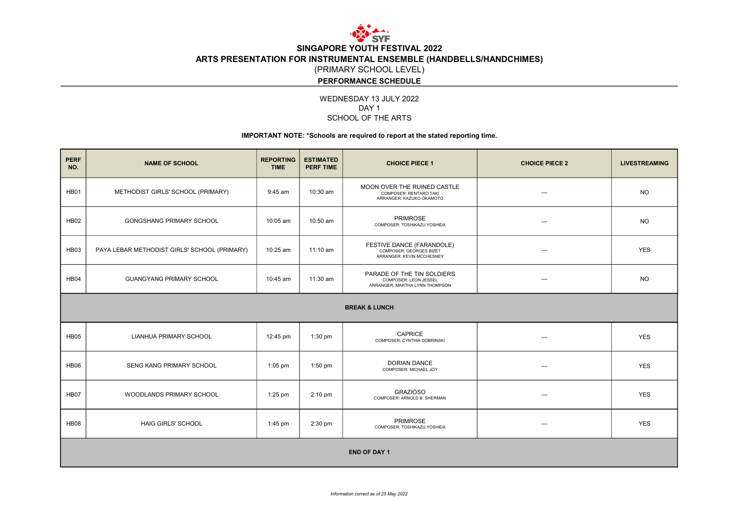

SINGAPORE YOUTH FESTIVAL 2022 ARTS PRESENTATION FOR INSTRUMENTAL ENSEMBLE (HANDBELLS/HANDCHIMES) (PRIMARY SCHOOL LEVEL)

### PERFORMANCE SCHEDULE

WEDNESDAY 13 JULY 2022 SCHOOL OF THE ARTS DAY<sub>1</sub>

### IMPORTANT NOTE: \*Schools are required to report at the stated reporting time.

| <b>PERF</b><br>NO.       | <b>NAME OF SCHOOL</b>                        | <b>REPORTING</b><br><b>TIME</b> | <b>ESTIMATED</b><br><b>PERF TIME</b> | <b>CHOICE PIECE 1</b>                                                                 | <b>CHOICE PIECE 2</b> | <b>LIVESTREAMING</b> |  |  |  |  |
|--------------------------|----------------------------------------------|---------------------------------|--------------------------------------|---------------------------------------------------------------------------------------|-----------------------|----------------------|--|--|--|--|
| HB01                     | METHODIST GIRLS' SCHOOL (PRIMARY)            | $9:45$ am                       | 10:30 am                             | MOON OVER THE RUINED CASTLE<br>COMPOSER: RENTARO TAKI<br>ARRANGER: KAZUKO OKAMOTO     |                       | <b>NO</b>            |  |  |  |  |
| <b>HB02</b>              | <b>GONGSHANG PRIMARY SCHOOL</b>              | 10:05 am                        | 10:50 am                             | <b>PRIMROSE</b><br>COMPOSER: TOSHIKAZU YOSHIDA                                        |                       | <b>NO</b>            |  |  |  |  |
| HB03                     | PAYA LEBAR METHODIST GIRLS' SCHOOL (PRIMARY) | 10:25 am                        | $11:10$ am                           | FESTIVE DANCE (FARANDOLE)<br>COMPOSER: GEORGES BIZET<br>ARRANGER: KEVIN MCCHESNEY     |                       | <b>YES</b>           |  |  |  |  |
| HB04                     | <b>GUANGYANG PRIMARY SCHOOL</b>              | 10:45 am                        | 11:30 am                             | PARADE OF THE TIN SOLDIERS<br>COMPOSER: LEON JESSEL<br>ARRANGER: MARTHA LYNN THOMPSON |                       | <b>NO</b>            |  |  |  |  |
| <b>BREAK &amp; LUNCH</b> |                                              |                                 |                                      |                                                                                       |                       |                      |  |  |  |  |
| HB05                     | LIANHUA PRIMARY SCHOOL                       | 12:45 pm                        | 1:30 pm                              | <b>CAPRICE</b><br>COMPOSER: CYNTHIA DOBRINSKI                                         |                       | <b>YES</b>           |  |  |  |  |
| <b>HB06</b>              | SENG KANG PRIMARY SCHOOL                     | $1:05$ pm                       | 1:50 pm                              | <b>DORIAN DANCE</b><br>COMPOSER: MICHAEL JOY                                          |                       | <b>YES</b>           |  |  |  |  |
| <b>HB07</b>              | WOODLANDS PRIMARY SCHOOL                     | $1:25$ pm                       | $2:10$ pm                            | <b>GRAZIOSO</b><br>COMPOSER: ARNOLD B. SHERMAN                                        |                       | <b>YES</b>           |  |  |  |  |
| <b>HB08</b>              | <b>HAIG GIRLS' SCHOOL</b>                    | 1:45 pm                         | 2:30 pm                              | <b>PRIMROSE</b><br>COMPOSER: TOSHIKAZU YOSHIDA                                        |                       | <b>YES</b>           |  |  |  |  |
| <b>END OF DAY 1</b>      |                                              |                                 |                                      |                                                                                       |                       |                      |  |  |  |  |